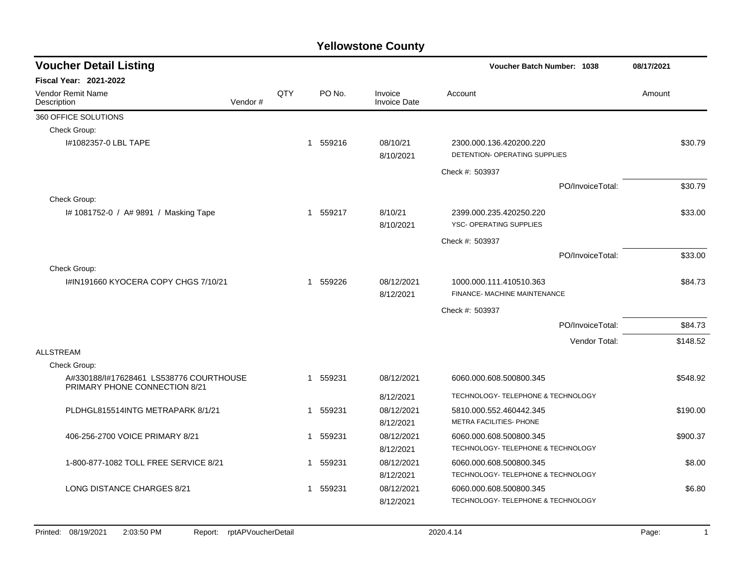| <b>Voucher Detail Listing</b>                                                   |         |     |             |          |                                | <b>Voucher Batch Number: 1038</b>                        |                  | 08/17/2021 |          |
|---------------------------------------------------------------------------------|---------|-----|-------------|----------|--------------------------------|----------------------------------------------------------|------------------|------------|----------|
| <b>Fiscal Year: 2021-2022</b>                                                   |         |     |             |          |                                |                                                          |                  |            |          |
| Vendor Remit Name<br>Description                                                | Vendor# | QTY |             | PO No.   | Invoice<br><b>Invoice Date</b> | Account                                                  |                  | Amount     |          |
| 360 OFFICE SOLUTIONS                                                            |         |     |             |          |                                |                                                          |                  |            |          |
| Check Group:                                                                    |         |     |             |          |                                |                                                          |                  |            |          |
| I#1082357-0 LBL TAPE                                                            |         |     |             | 1 559216 | 08/10/21<br>8/10/2021          | 2300.000.136.420200.220<br>DETENTION- OPERATING SUPPLIES |                  |            | \$30.79  |
|                                                                                 |         |     |             |          |                                | Check #: 503937                                          |                  |            |          |
|                                                                                 |         |     |             |          |                                |                                                          | PO/InvoiceTotal: |            | \$30.79  |
| Check Group:                                                                    |         |     |             |          |                                |                                                          |                  |            |          |
| I# 1081752-0 / A# 9891 / Masking Tape                                           |         |     |             | 1 559217 | 8/10/21<br>8/10/2021           | 2399.000.235.420250.220<br>YSC- OPERATING SUPPLIES       |                  |            | \$33.00  |
|                                                                                 |         |     |             |          |                                | Check #: 503937                                          |                  |            |          |
|                                                                                 |         |     |             |          |                                |                                                          | PO/InvoiceTotal: |            | \$33.00  |
| Check Group:                                                                    |         |     |             |          |                                |                                                          |                  |            |          |
| I#IN191660 KYOCERA COPY CHGS 7/10/21                                            |         |     | 1           | 559226   | 08/12/2021<br>8/12/2021        | 1000.000.111.410510.363<br>FINANCE- MACHINE MAINTENANCE  |                  |            | \$84.73  |
|                                                                                 |         |     |             |          |                                | Check #: 503937                                          |                  |            |          |
|                                                                                 |         |     |             |          |                                |                                                          | PO/InvoiceTotal: |            | \$84.73  |
|                                                                                 |         |     |             |          |                                |                                                          | Vendor Total:    |            | \$148.52 |
| <b>ALLSTREAM</b>                                                                |         |     |             |          |                                |                                                          |                  |            |          |
| Check Group:                                                                    |         |     |             |          |                                |                                                          |                  |            |          |
| A#330188/I#17628461 LS538776 COURTHOUSE<br><b>PRIMARY PHONE CONNECTION 8/21</b> |         |     | $\mathbf 1$ | 559231   | 08/12/2021                     | 6060.000.608.500800.345                                  |                  |            | \$548.92 |
|                                                                                 |         |     |             |          | 8/12/2021                      | TECHNOLOGY- TELEPHONE & TECHNOLOGY                       |                  |            |          |
| PLDHGL815514INTG METRAPARK 8/1/21                                               |         |     | $\mathbf 1$ | 559231   | 08/12/2021                     | 5810.000.552.460442.345                                  |                  |            | \$190.00 |
|                                                                                 |         |     |             |          | 8/12/2021                      | METRA FACILITIES- PHONE                                  |                  |            |          |
| 406-256-2700 VOICE PRIMARY 8/21                                                 |         |     | $\mathbf 1$ | 559231   | 08/12/2021                     | 6060.000.608.500800.345                                  |                  |            | \$900.37 |
|                                                                                 |         |     |             |          | 8/12/2021                      | TECHNOLOGY- TELEPHONE & TECHNOLOGY                       |                  |            |          |
| 1-800-877-1082 TOLL FREE SERVICE 8/21                                           |         |     | 1           | 559231   | 08/12/2021                     | 6060.000.608.500800.345                                  |                  |            | \$8.00   |
|                                                                                 |         |     |             |          | 8/12/2021                      | TECHNOLOGY- TELEPHONE & TECHNOLOGY                       |                  |            |          |
| LONG DISTANCE CHARGES 8/21                                                      |         |     | -1          | 559231   | 08/12/2021                     | 6060.000.608.500800.345                                  |                  |            | \$6.80   |
|                                                                                 |         |     |             |          | 8/12/2021                      | TECHNOLOGY- TELEPHONE & TECHNOLOGY                       |                  |            |          |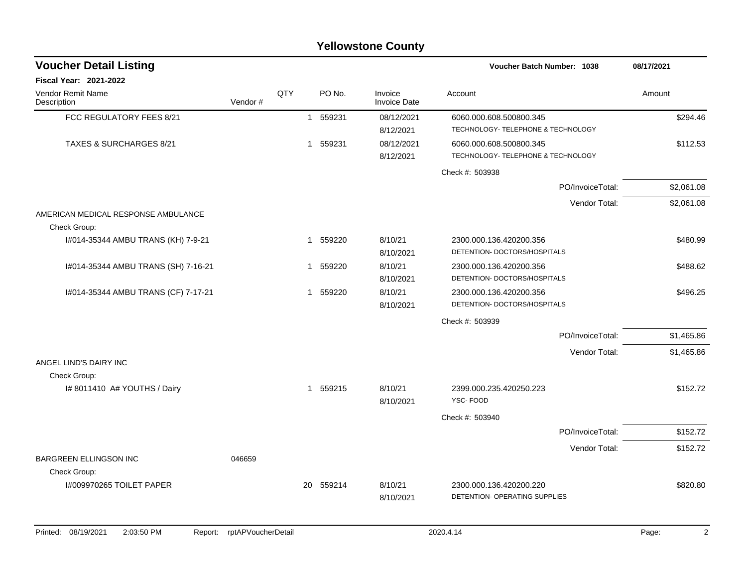|                                     |         |     |              |          | <b>Yellowstone County</b>      |                                                               |            |
|-------------------------------------|---------|-----|--------------|----------|--------------------------------|---------------------------------------------------------------|------------|
| <b>Voucher Detail Listing</b>       |         |     |              |          |                                | <b>Voucher Batch Number: 1038</b>                             | 08/17/2021 |
| <b>Fiscal Year: 2021-2022</b>       |         |     |              |          |                                |                                                               |            |
| Vendor Remit Name<br>Description    | Vendor# | QTY |              | PO No.   | Invoice<br><b>Invoice Date</b> | Account                                                       | Amount     |
| FCC REGULATORY FEES 8/21            |         |     | $\mathbf{1}$ | 559231   | 08/12/2021<br>8/12/2021        | 6060.000.608.500800.345<br>TECHNOLOGY- TELEPHONE & TECHNOLOGY | \$294.46   |
| <b>TAXES &amp; SURCHARGES 8/21</b>  |         |     | $\mathbf 1$  | 559231   | 08/12/2021<br>8/12/2021        | 6060.000.608.500800.345<br>TECHNOLOGY- TELEPHONE & TECHNOLOGY | \$112.53   |
|                                     |         |     |              |          |                                | Check #: 503938                                               |            |
|                                     |         |     |              |          |                                | PO/InvoiceTotal:                                              | \$2,061.08 |
| AMERICAN MEDICAL RESPONSE AMBULANCE |         |     |              |          |                                | Vendor Total:                                                 | \$2,061.08 |
| Check Group:                        |         |     |              |          |                                |                                                               |            |
| I#014-35344 AMBU TRANS (KH) 7-9-21  |         |     | $\mathbf{1}$ | 559220   | 8/10/21<br>8/10/2021           | 2300.000.136.420200.356<br>DETENTION- DOCTORS/HOSPITALS       | \$480.99   |
| I#014-35344 AMBU TRANS (SH) 7-16-21 |         |     | 1            | 559220   | 8/10/21<br>8/10/2021           | 2300.000.136.420200.356<br>DETENTION- DOCTORS/HOSPITALS       | \$488.62   |
| I#014-35344 AMBU TRANS (CF) 7-17-21 |         |     |              | 1 559220 | 8/10/21<br>8/10/2021           | 2300.000.136.420200.356<br>DETENTION- DOCTORS/HOSPITALS       | \$496.25   |
|                                     |         |     |              |          |                                | Check #: 503939                                               |            |
|                                     |         |     |              |          |                                | PO/InvoiceTotal:                                              | \$1,465.86 |
| ANGEL LIND'S DAIRY INC              |         |     |              |          |                                | Vendor Total:                                                 | \$1,465.86 |
| Check Group:                        |         |     |              |          |                                |                                                               |            |
| I# 8011410 A# YOUTHS / Dairy        |         |     |              | 1 559215 | 8/10/21<br>8/10/2021           | 2399.000.235.420250.223<br>YSC-FOOD                           | \$152.72   |
|                                     |         |     |              |          |                                | Check #: 503940                                               |            |
|                                     |         |     |              |          |                                | PO/InvoiceTotal:                                              | \$152.72   |
| <b>BARGREEN ELLINGSON INC</b>       | 046659  |     |              |          |                                | Vendor Total:                                                 | \$152.72   |
| Check Group:                        |         |     |              |          |                                |                                                               |            |
| I#009970265 TOILET PAPER            |         |     | 20           | 559214   | 8/10/21<br>8/10/2021           | 2300.000.136.420200.220<br>DETENTION- OPERATING SUPPLIES      | \$820.80   |
|                                     |         |     |              |          |                                |                                                               |            |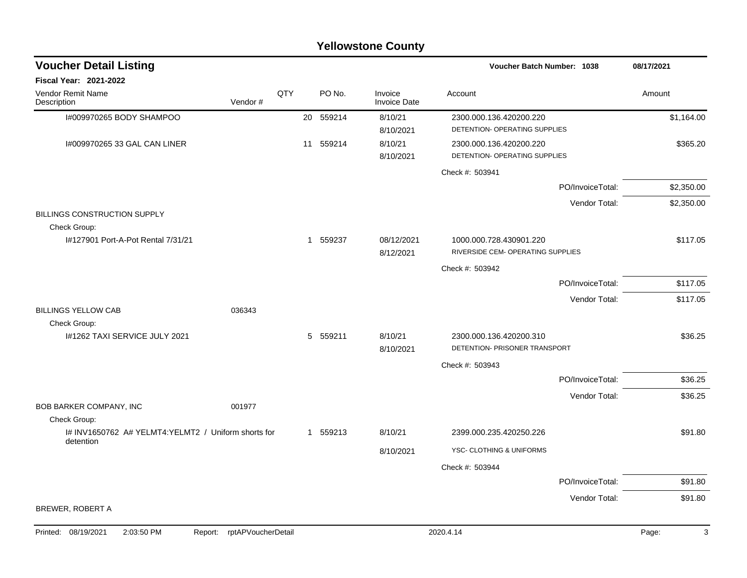|                                                                  |                            |     |           | <b>Yellowstone County</b>      |                                                          |                  |            |
|------------------------------------------------------------------|----------------------------|-----|-----------|--------------------------------|----------------------------------------------------------|------------------|------------|
| <b>Voucher Detail Listing</b>                                    |                            |     |           |                                | <b>Voucher Batch Number: 1038</b>                        |                  | 08/17/2021 |
| Fiscal Year: 2021-2022                                           |                            |     |           |                                |                                                          |                  |            |
| Vendor Remit Name<br>Description                                 | Vendor#                    | QTY | PO No.    | Invoice<br><b>Invoice Date</b> | Account                                                  |                  | Amount     |
| I#009970265 BODY SHAMPOO                                         |                            |     | 20 559214 | 8/10/21<br>8/10/2021           | 2300.000.136.420200.220<br>DETENTION- OPERATING SUPPLIES |                  | \$1,164.00 |
| I#009970265 33 GAL CAN LINER                                     |                            | 11  | 559214    | 8/10/21<br>8/10/2021           | 2300.000.136.420200.220<br>DETENTION- OPERATING SUPPLIES |                  | \$365.20   |
|                                                                  |                            |     |           |                                | Check #: 503941                                          |                  |            |
|                                                                  |                            |     |           |                                |                                                          | PO/InvoiceTotal: | \$2,350.00 |
|                                                                  |                            |     |           |                                |                                                          | Vendor Total:    | \$2,350.00 |
| BILLINGS CONSTRUCTION SUPPLY<br>Check Group:                     |                            |     |           |                                |                                                          |                  |            |
| 1#127901 Port-A-Pot Rental 7/31/21                               |                            |     | 1 559237  | 08/12/2021                     | 1000.000.728.430901.220                                  |                  | \$117.05   |
|                                                                  |                            |     |           | 8/12/2021                      | RIVERSIDE CEM- OPERATING SUPPLIES                        |                  |            |
|                                                                  |                            |     |           |                                | Check #: 503942                                          |                  |            |
|                                                                  |                            |     |           |                                |                                                          | PO/InvoiceTotal: | \$117.05   |
| <b>BILLINGS YELLOW CAB</b><br>Check Group:                       | 036343                     |     |           |                                |                                                          | Vendor Total:    | \$117.05   |
| I#1262 TAXI SERVICE JULY 2021                                    |                            | 5   | 559211    | 8/10/21<br>8/10/2021           | 2300.000.136.420200.310<br>DETENTION- PRISONER TRANSPORT |                  | \$36.25    |
|                                                                  |                            |     |           |                                | Check #: 503943                                          |                  |            |
|                                                                  |                            |     |           |                                |                                                          | PO/InvoiceTotal: | \$36.25    |
|                                                                  |                            |     |           |                                |                                                          | Vendor Total:    | \$36.25    |
| BOB BARKER COMPANY, INC                                          | 001977                     |     |           |                                |                                                          |                  |            |
| Check Group:                                                     |                            |     |           |                                |                                                          |                  |            |
| I# INV1650762 A# YELMT4:YELMT2 / Uniform shorts for<br>detention |                            |     | 1 559213  | 8/10/21                        | 2399.000.235.420250.226                                  |                  | \$91.80    |
|                                                                  |                            |     |           | 8/10/2021                      | YSC- CLOTHING & UNIFORMS                                 |                  |            |
|                                                                  |                            |     |           |                                | Check #: 503944                                          |                  |            |
|                                                                  |                            |     |           |                                |                                                          | PO/InvoiceTotal: | \$91.80    |
| BREWER, ROBERT A                                                 |                            |     |           |                                |                                                          | Vendor Total:    | \$91.80    |
|                                                                  |                            |     |           |                                |                                                          |                  |            |
| Printed: 08/19/2021<br>2:03:50 PM                                | Report: rptAPVoucherDetail |     |           |                                | 2020.4.14                                                |                  | Page:<br>3 |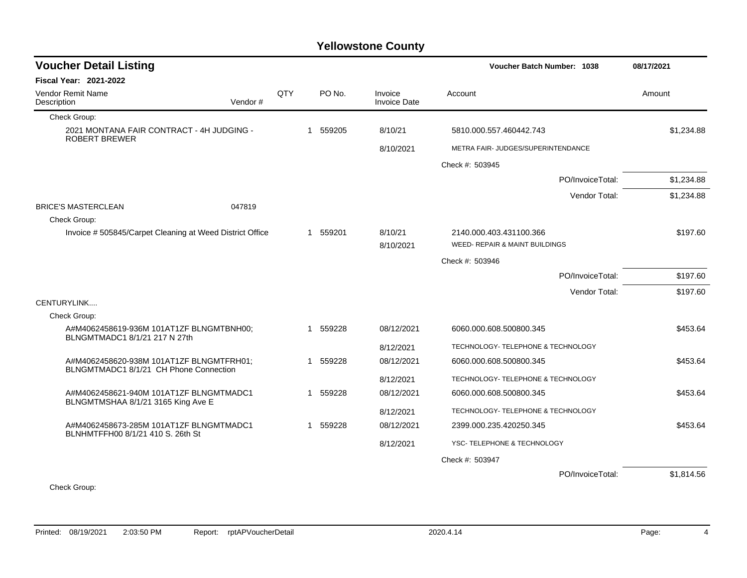| <b>Voucher Detail Listing</b>                                                      |     |             |          |                                |                                    | 08/17/2021 |  |
|------------------------------------------------------------------------------------|-----|-------------|----------|--------------------------------|------------------------------------|------------|--|
| <b>Fiscal Year: 2021-2022</b>                                                      |     |             |          |                                |                                    |            |  |
| Vendor Remit Name<br>Description<br>Vendor#                                        | QTY |             | PO No.   | Invoice<br><b>Invoice Date</b> | Account                            | Amount     |  |
| Check Group:                                                                       |     |             |          |                                |                                    |            |  |
| 2021 MONTANA FAIR CONTRACT - 4H JUDGING -<br>ROBERT BREWER                         |     | $\mathbf 1$ | 559205   | 8/10/21                        | 5810.000.557.460442.743            | \$1,234.88 |  |
|                                                                                    |     |             |          | 8/10/2021                      | METRA FAIR- JUDGES/SUPERINTENDANCE |            |  |
|                                                                                    |     |             |          |                                | Check #: 503945                    |            |  |
|                                                                                    |     |             |          |                                | PO/InvoiceTotal:                   | \$1,234.88 |  |
|                                                                                    |     |             |          |                                | Vendor Total:                      | \$1,234.88 |  |
| <b>BRICE'S MASTERCLEAN</b><br>047819                                               |     |             |          |                                |                                    |            |  |
| Check Group:                                                                       |     |             |          |                                |                                    |            |  |
| Invoice #505845/Carpet Cleaning at Weed District Office                            |     |             | 1 559201 | 8/10/21                        | 2140.000.403.431100.366            | \$197.60   |  |
|                                                                                    |     |             |          | 8/10/2021                      | WEED- REPAIR & MAINT BUILDINGS     |            |  |
|                                                                                    |     |             |          |                                | Check #: 503946                    |            |  |
|                                                                                    |     |             |          |                                | PO/InvoiceTotal:                   | \$197.60   |  |
|                                                                                    |     |             |          |                                | Vendor Total:                      | \$197.60   |  |
| CENTURYLINK                                                                        |     |             |          |                                |                                    |            |  |
| Check Group:                                                                       |     |             |          |                                |                                    |            |  |
| A#M4062458619-936M 101AT1ZF BLNGMTBNH00;<br>BLNGMTMADC1 8/1/21 217 N 27th          |     | 1           | 559228   | 08/12/2021                     | 6060.000.608.500800.345            | \$453.64   |  |
|                                                                                    |     |             |          | 8/12/2021                      | TECHNOLOGY- TELEPHONE & TECHNOLOGY |            |  |
| A#M4062458620-938M 101AT1ZF BLNGMTFRH01;<br>BLNGMTMADC1 8/1/21 CH Phone Connection |     | 1           | 559228   | 08/12/2021                     | 6060.000.608.500800.345            | \$453.64   |  |
|                                                                                    |     |             |          | 8/12/2021                      | TECHNOLOGY- TELEPHONE & TECHNOLOGY |            |  |
| A#M4062458621-940M 101AT1ZF BLNGMTMADC1<br>BLNGMTMSHAA 8/1/21 3165 King Ave E      |     | 1           | 559228   | 08/12/2021                     | 6060.000.608.500800.345            | \$453.64   |  |
|                                                                                    |     |             |          | 8/12/2021                      | TECHNOLOGY- TELEPHONE & TECHNOLOGY |            |  |
| A#M4062458673-285M 101AT1ZF BLNGMTMADC1<br>BLNHMTFFH00 8/1/21 410 S. 26th St       |     | 1           | 559228   | 08/12/2021                     | 2399.000.235.420250.345            | \$453.64   |  |
|                                                                                    |     |             |          | 8/12/2021                      | YSC-TELEPHONE & TECHNOLOGY         |            |  |
|                                                                                    |     |             |          |                                | Check #: 503947                    |            |  |
|                                                                                    |     |             |          |                                | PO/InvoiceTotal:                   | \$1,814.56 |  |
| $O1$ and $O2$ and $O3$                                                             |     |             |          |                                |                                    |            |  |

Check Group: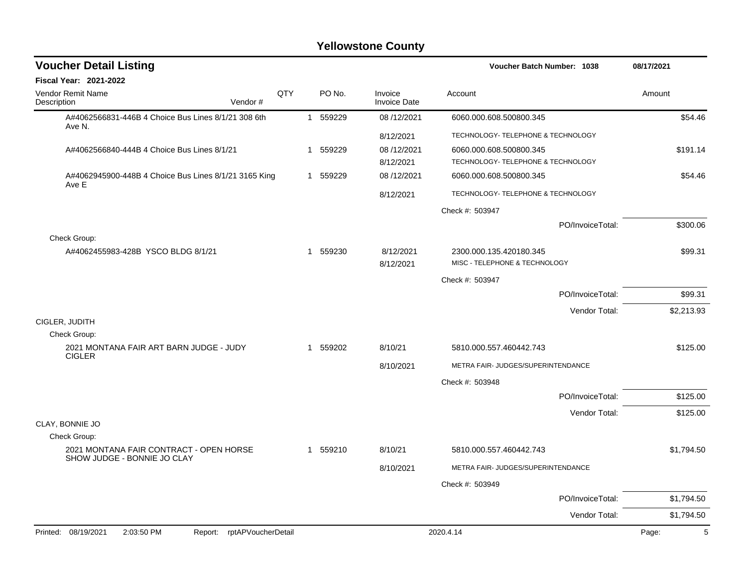| <b>Voucher Detail Listing</b>                                          |                    |              |          |                                | <b>Voucher Batch Number: 1038</b>                        |                  | 08/17/2021 |
|------------------------------------------------------------------------|--------------------|--------------|----------|--------------------------------|----------------------------------------------------------|------------------|------------|
| <b>Fiscal Year: 2021-2022</b>                                          |                    |              |          |                                |                                                          |                  |            |
| Vendor Remit Name<br>Description<br>Vendor#                            | QTY                |              | PO No.   | Invoice<br><b>Invoice Date</b> | Account                                                  |                  | Amount     |
| A#4062566831-446B 4 Choice Bus Lines 8/1/21 308 6th<br>Ave N.          |                    | $\mathbf{1}$ | 559229   | 08/12/2021                     | 6060.000.608.500800.345                                  |                  | \$54.46    |
|                                                                        |                    |              |          | 8/12/2021                      | TECHNOLOGY- TELEPHONE & TECHNOLOGY                       |                  |            |
| A#4062566840-444B 4 Choice Bus Lines 8/1/21                            |                    | $\mathbf 1$  | 559229   | 08/12/2021                     | 6060.000.608.500800.345                                  |                  | \$191.14   |
|                                                                        |                    |              |          | 8/12/2021                      | TECHNOLOGY- TELEPHONE & TECHNOLOGY                       |                  |            |
| A#4062945900-448B 4 Choice Bus Lines 8/1/21 3165 King<br>Ave E         |                    |              | 1 559229 | 08/12/2021                     | 6060.000.608.500800.345                                  |                  | \$54.46    |
|                                                                        |                    |              |          | 8/12/2021                      | TECHNOLOGY- TELEPHONE & TECHNOLOGY                       |                  |            |
|                                                                        |                    |              |          |                                | Check #: 503947                                          |                  |            |
|                                                                        |                    |              |          |                                |                                                          | PO/InvoiceTotal: | \$300.06   |
| Check Group:                                                           |                    |              |          |                                |                                                          |                  |            |
| A#4062455983-428B YSCO BLDG 8/1/21                                     |                    | 1            | 559230   | 8/12/2021<br>8/12/2021         | 2300.000.135.420180.345<br>MISC - TELEPHONE & TECHNOLOGY |                  | \$99.31    |
|                                                                        |                    |              |          |                                |                                                          |                  |            |
|                                                                        |                    |              |          |                                | Check #: 503947                                          |                  |            |
|                                                                        |                    |              |          |                                |                                                          | PO/InvoiceTotal: | \$99.31    |
| CIGLER, JUDITH                                                         |                    |              |          |                                |                                                          | Vendor Total:    | \$2,213.93 |
| Check Group:                                                           |                    |              |          |                                |                                                          |                  |            |
| 2021 MONTANA FAIR ART BARN JUDGE - JUDY                                |                    | $\mathbf 1$  | 559202   | 8/10/21                        | 5810.000.557.460442.743                                  |                  | \$125.00   |
| <b>CIGLER</b>                                                          |                    |              |          | 8/10/2021                      | METRA FAIR- JUDGES/SUPERINTENDANCE                       |                  |            |
|                                                                        |                    |              |          |                                | Check #: 503948                                          |                  |            |
|                                                                        |                    |              |          |                                |                                                          | PO/InvoiceTotal: | \$125.00   |
|                                                                        |                    |              |          |                                |                                                          | Vendor Total:    | \$125.00   |
| CLAY, BONNIE JO                                                        |                    |              |          |                                |                                                          |                  |            |
| Check Group:                                                           |                    |              |          |                                |                                                          |                  |            |
| 2021 MONTANA FAIR CONTRACT - OPEN HORSE<br>SHOW JUDGE - BONNIE JO CLAY |                    | $\mathbf 1$  | 559210   | 8/10/21                        | 5810.000.557.460442.743                                  |                  | \$1,794.50 |
|                                                                        |                    |              |          | 8/10/2021                      | METRA FAIR- JUDGES/SUPERINTENDANCE                       |                  |            |
|                                                                        |                    |              |          |                                | Check #: 503949                                          |                  |            |
|                                                                        |                    |              |          |                                |                                                          | PO/InvoiceTotal: | \$1,794.50 |
|                                                                        |                    |              |          |                                |                                                          | Vendor Total:    | \$1,794.50 |
| Printed: 08/19/2021<br>2:03:50 PM<br>Report:                           | rptAPVoucherDetail |              |          |                                | 2020.4.14                                                |                  | 5<br>Page: |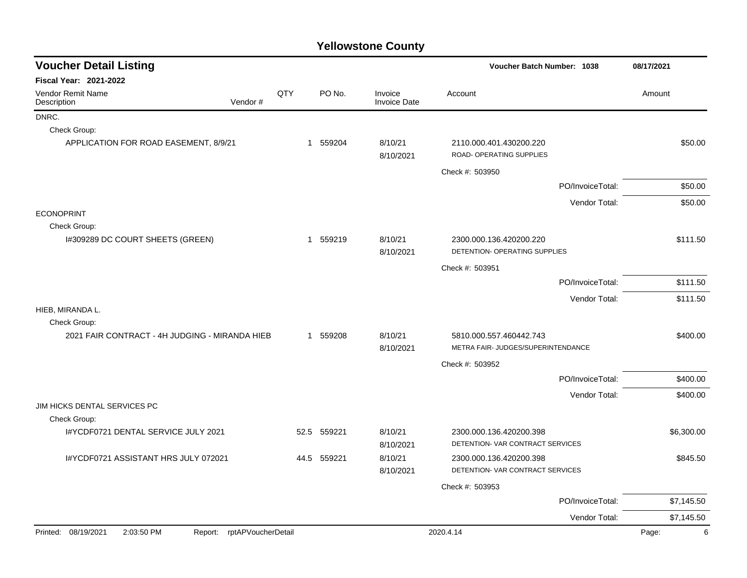| <b>Voucher Detail Listing</b>                                      |      | <b>Voucher Batch Number: 1038</b> |                                | 08/17/2021                                                    |                  |            |
|--------------------------------------------------------------------|------|-----------------------------------|--------------------------------|---------------------------------------------------------------|------------------|------------|
| <b>Fiscal Year: 2021-2022</b>                                      |      |                                   |                                |                                                               |                  |            |
| <b>Vendor Remit Name</b><br>Vendor#<br>Description                 | QTY  | PO No.                            | Invoice<br><b>Invoice Date</b> | Account                                                       |                  | Amount     |
| DNRC.                                                              |      |                                   |                                |                                                               |                  |            |
| Check Group:                                                       |      |                                   |                                |                                                               |                  |            |
| APPLICATION FOR ROAD EASEMENT, 8/9/21                              |      | 1 559204                          | 8/10/21<br>8/10/2021           | 2110.000.401.430200.220<br>ROAD- OPERATING SUPPLIES           |                  | \$50.00    |
|                                                                    |      |                                   |                                | Check #: 503950                                               |                  |            |
|                                                                    |      |                                   |                                |                                                               | PO/InvoiceTotal: | \$50.00    |
|                                                                    |      |                                   |                                |                                                               | Vendor Total:    | \$50.00    |
| <b>ECONOPRINT</b>                                                  |      |                                   |                                |                                                               |                  |            |
| Check Group:                                                       |      |                                   |                                |                                                               |                  |            |
| I#309289 DC COURT SHEETS (GREEN)                                   |      | 1 559219                          | 8/10/21<br>8/10/2021           | 2300.000.136.420200.220<br>DETENTION- OPERATING SUPPLIES      |                  | \$111.50   |
|                                                                    |      |                                   |                                | Check #: 503951                                               |                  |            |
|                                                                    |      |                                   |                                |                                                               | PO/InvoiceTotal: | \$111.50   |
|                                                                    |      |                                   |                                |                                                               | Vendor Total:    | \$111.50   |
| HIEB, MIRANDA L.                                                   |      |                                   |                                |                                                               |                  |            |
| Check Group:<br>2021 FAIR CONTRACT - 4H JUDGING - MIRANDA HIEB     |      | 1 559208                          | 8/10/21                        |                                                               |                  | \$400.00   |
|                                                                    |      |                                   | 8/10/2021                      | 5810.000.557.460442.743<br>METRA FAIR- JUDGES/SUPERINTENDANCE |                  |            |
|                                                                    |      |                                   |                                | Check #: 503952                                               |                  |            |
|                                                                    |      |                                   |                                |                                                               | PO/InvoiceTotal: | \$400.00   |
|                                                                    |      |                                   |                                |                                                               | Vendor Total:    | \$400.00   |
| JIM HICKS DENTAL SERVICES PC                                       |      |                                   |                                |                                                               |                  |            |
| Check Group:                                                       |      |                                   |                                |                                                               |                  |            |
| I#YCDF0721 DENTAL SERVICE JULY 2021                                | 52.5 | 559221                            | 8/10/21<br>8/10/2021           | 2300.000.136.420200.398<br>DETENTION- VAR CONTRACT SERVICES   |                  | \$6,300.00 |
| I#YCDF0721 ASSISTANT HRS JULY 072021                               |      | 44.5 559221                       | 8/10/21<br>8/10/2021           | 2300.000.136.420200.398<br>DETENTION- VAR CONTRACT SERVICES   |                  | \$845.50   |
|                                                                    |      |                                   |                                | Check #: 503953                                               |                  |            |
|                                                                    |      |                                   |                                |                                                               | PO/InvoiceTotal: | \$7,145.50 |
|                                                                    |      |                                   |                                |                                                               | Vendor Total:    | \$7,145.50 |
| Printed: 08/19/2021<br>2:03:50 PM<br>rptAPVoucherDetail<br>Report: |      |                                   |                                | 2020.4.14                                                     |                  | 6<br>Page: |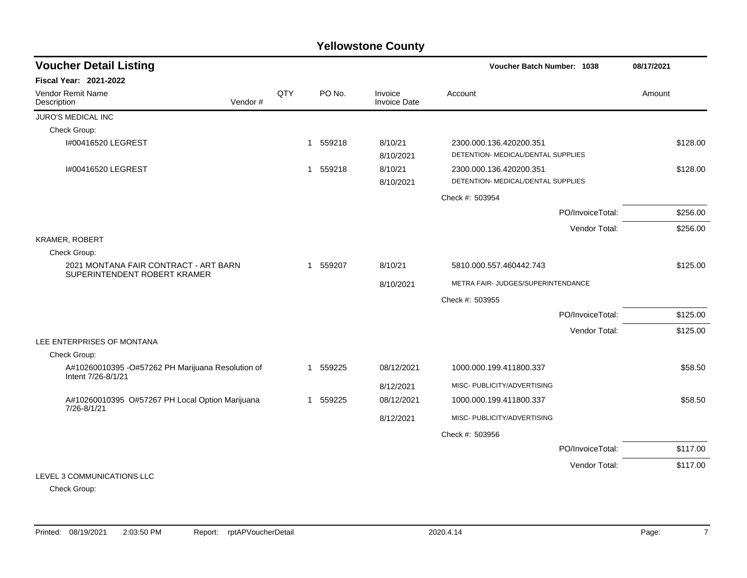| <b>Voucher Detail Listing</b>                                           |         |     |              |          |                                | <b>Voucher Batch Number: 1038</b>                             | 08/17/2021       |          |
|-------------------------------------------------------------------------|---------|-----|--------------|----------|--------------------------------|---------------------------------------------------------------|------------------|----------|
| <b>Fiscal Year: 2021-2022</b>                                           |         |     |              |          |                                |                                                               |                  |          |
| <b>Vendor Remit Name</b><br>Description                                 | Vendor# | QTY |              | PO No.   | Invoice<br><b>Invoice Date</b> | Account                                                       |                  | Amount   |
| <b>JURO'S MEDICAL INC</b>                                               |         |     |              |          |                                |                                                               |                  |          |
| Check Group:                                                            |         |     |              |          |                                |                                                               |                  |          |
| I#00416520 LEGREST                                                      |         |     | -1           | 559218   | 8/10/21<br>8/10/2021           | 2300.000.136.420200.351<br>DETENTION- MEDICAL/DENTAL SUPPLIES |                  | \$128.00 |
| 1#00416520 LEGREST                                                      |         |     | $\mathbf{1}$ | 559218   | 8/10/21<br>8/10/2021           | 2300.000.136.420200.351<br>DETENTION- MEDICAL/DENTAL SUPPLIES |                  | \$128.00 |
|                                                                         |         |     |              |          |                                | Check #: 503954                                               |                  |          |
|                                                                         |         |     |              |          |                                |                                                               | PO/InvoiceTotal: | \$256.00 |
|                                                                         |         |     |              |          |                                |                                                               | Vendor Total:    | \$256.00 |
| KRAMER, ROBERT                                                          |         |     |              |          |                                |                                                               |                  |          |
| Check Group:                                                            |         |     |              |          |                                |                                                               |                  |          |
| 2021 MONTANA FAIR CONTRACT - ART BARN<br>SUPERINTENDENT ROBERT KRAMER   |         |     | $\mathbf{1}$ | 559207   | 8/10/21                        | 5810.000.557.460442.743                                       |                  | \$125.00 |
|                                                                         |         |     |              |          | 8/10/2021                      | METRA FAIR- JUDGES/SUPERINTENDANCE                            |                  |          |
|                                                                         |         |     |              |          |                                | Check #: 503955                                               |                  |          |
|                                                                         |         |     |              |          |                                |                                                               | PO/InvoiceTotal: | \$125.00 |
|                                                                         |         |     |              |          |                                |                                                               | Vendor Total:    | \$125.00 |
| LEE ENTERPRISES OF MONTANA                                              |         |     |              |          |                                |                                                               |                  |          |
| Check Group:                                                            |         |     |              |          |                                |                                                               |                  |          |
| A#10260010395 -O#57262 PH Marijuana Resolution of<br>Intent 7/26-8/1/21 |         |     |              | 1 559225 | 08/12/2021                     | 1000.000.199.411800.337                                       |                  | \$58.50  |
|                                                                         |         |     |              |          | 8/12/2021                      | MISC- PUBLICITY/ADVERTISING                                   |                  |          |
| A#10260010395 O#57267 PH Local Option Marijuana                         |         |     |              | 1 559225 | 08/12/2021                     | 1000.000.199.411800.337                                       |                  | \$58.50  |
| 7/26-8/1/21                                                             |         |     |              |          | 8/12/2021                      | MISC- PUBLICITY/ADVERTISING                                   |                  |          |
|                                                                         |         |     |              |          |                                | Check #: 503956                                               |                  |          |
|                                                                         |         |     |              |          |                                |                                                               | PO/InvoiceTotal: | \$117.00 |
|                                                                         |         |     |              |          |                                |                                                               | Vendor Total:    | \$117.00 |
| LEVEL 3 COMMUNICATIONS LLC                                              |         |     |              |          |                                |                                                               |                  |          |

Check Group: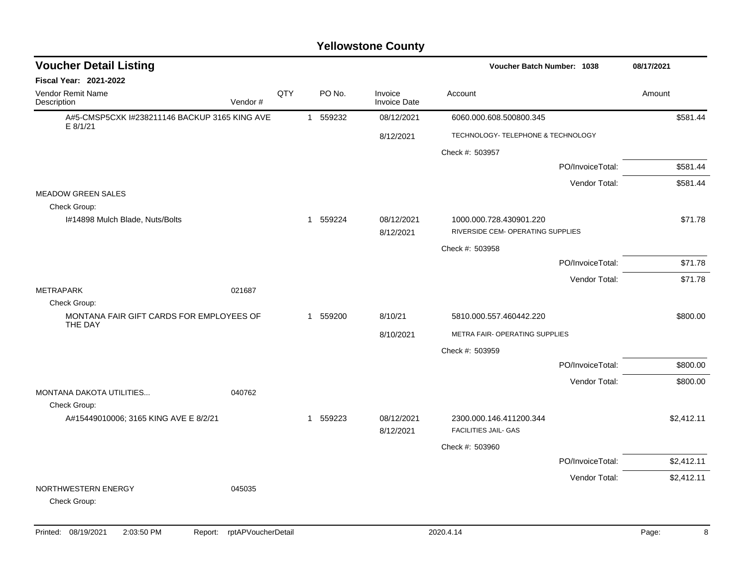| <b>Voucher Detail Listing</b>                             |         |     |          |                                | Voucher Batch Number: 1038                                   |                  | 08/17/2021 |
|-----------------------------------------------------------|---------|-----|----------|--------------------------------|--------------------------------------------------------------|------------------|------------|
| <b>Fiscal Year: 2021-2022</b>                             |         |     |          |                                |                                                              |                  |            |
| Vendor Remit Name<br>Description                          | Vendor# | QTY | PO No.   | Invoice<br><b>Invoice Date</b> | Account                                                      |                  | Amount     |
| A#5-CMSP5CXK I#238211146 BACKUP 3165 KING AVE<br>E 8/1/21 |         |     | 1 559232 | 08/12/2021                     | 6060.000.608.500800.345                                      |                  | \$581.44   |
|                                                           |         |     |          | 8/12/2021                      | TECHNOLOGY- TELEPHONE & TECHNOLOGY                           |                  |            |
|                                                           |         |     |          |                                | Check #: 503957                                              |                  |            |
|                                                           |         |     |          |                                |                                                              | PO/InvoiceTotal: | \$581.44   |
|                                                           |         |     |          |                                |                                                              | Vendor Total:    | \$581.44   |
| <b>MEADOW GREEN SALES</b><br>Check Group:                 |         |     |          |                                |                                                              |                  |            |
| I#14898 Mulch Blade, Nuts/Bolts                           |         |     | 1 559224 | 08/12/2021<br>8/12/2021        | 1000.000.728.430901.220<br>RIVERSIDE CEM- OPERATING SUPPLIES |                  | \$71.78    |
|                                                           |         |     |          |                                | Check #: 503958                                              |                  |            |
|                                                           |         |     |          |                                |                                                              | PO/InvoiceTotal: | \$71.78    |
|                                                           |         |     |          |                                |                                                              | Vendor Total:    | \$71.78    |
| <b>METRAPARK</b>                                          | 021687  |     |          |                                |                                                              |                  |            |
| Check Group:<br>MONTANA FAIR GIFT CARDS FOR EMPLOYEES OF  |         |     | 1 559200 | 8/10/21                        | 5810.000.557.460442.220                                      |                  | \$800.00   |
| THE DAY                                                   |         |     |          |                                |                                                              |                  |            |
|                                                           |         |     |          | 8/10/2021                      | METRA FAIR- OPERATING SUPPLIES                               |                  |            |
|                                                           |         |     |          |                                | Check #: 503959                                              |                  |            |
|                                                           |         |     |          |                                |                                                              | PO/InvoiceTotal: | \$800.00   |
| MONTANA DAKOTA UTILITIES<br>Check Group:                  | 040762  |     |          |                                |                                                              | Vendor Total:    | \$800.00   |
| A#15449010006; 3165 KING AVE E 8/2/21                     |         |     | 1 559223 | 08/12/2021<br>8/12/2021        | 2300.000.146.411200.344<br><b>FACILITIES JAIL- GAS</b>       |                  | \$2,412.11 |
|                                                           |         |     |          |                                | Check #: 503960                                              |                  |            |
|                                                           |         |     |          |                                |                                                              | PO/InvoiceTotal: | \$2,412.11 |
|                                                           |         |     |          |                                |                                                              | Vendor Total:    | \$2,412.11 |
| NORTHWESTERN ENERGY<br>Check Group:                       | 045035  |     |          |                                |                                                              |                  |            |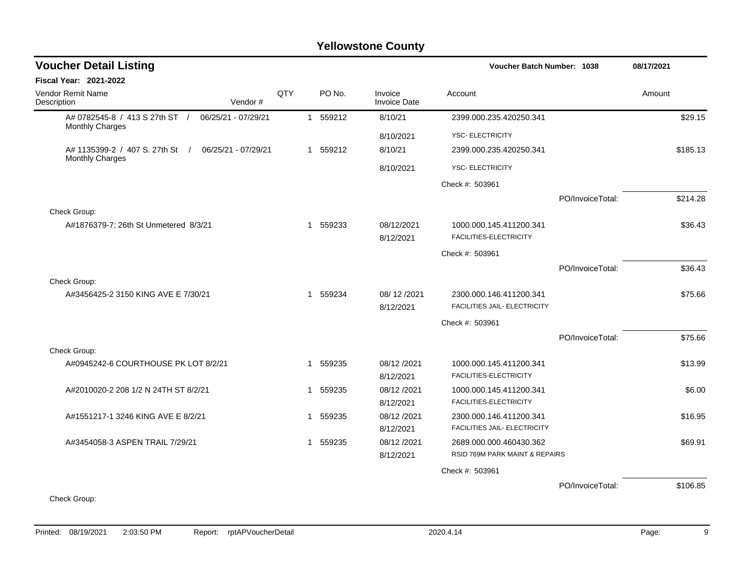| <b>Voucher Detail Listing</b>                             |                     |     |   |          |                                | <b>Voucher Batch Number: 1038</b> |                  | 08/17/2021 |
|-----------------------------------------------------------|---------------------|-----|---|----------|--------------------------------|-----------------------------------|------------------|------------|
| <b>Fiscal Year: 2021-2022</b>                             |                     |     |   |          |                                |                                   |                  |            |
| Vendor Remit Name<br>Description                          | Vendor#             | QTY |   | PO No.   | Invoice<br><b>Invoice Date</b> | Account                           |                  | Amount     |
| A# 0782545-8 / 413 S 27th ST /<br><b>Monthly Charges</b>  | 06/25/21 - 07/29/21 |     |   | 1 559212 | 8/10/21                        | 2399.000.235.420250.341           |                  | \$29.15    |
|                                                           |                     |     |   |          | 8/10/2021                      | <b>YSC- ELECTRICITY</b>           |                  |            |
| A# 1135399-2 / 407 S, 27th St /<br><b>Monthly Charges</b> | 06/25/21 - 07/29/21 |     |   | 1 559212 | 8/10/21                        | 2399.000.235.420250.341           |                  | \$185.13   |
|                                                           |                     |     |   |          | 8/10/2021                      | YSC- ELECTRICITY                  |                  |            |
|                                                           |                     |     |   |          |                                | Check #: 503961                   |                  |            |
|                                                           |                     |     |   |          |                                |                                   | PO/InvoiceTotal: | \$214.28   |
| Check Group:                                              |                     |     |   |          |                                |                                   |                  |            |
| A#1876379-7; 26th St Unmetered 8/3/21                     |                     |     | 1 | 559233   | 08/12/2021                     | 1000.000.145.411200.341           |                  | \$36.43    |
|                                                           |                     |     |   |          | 8/12/2021                      | FACILITIES-ELECTRICITY            |                  |            |
|                                                           |                     |     |   |          |                                | Check #: 503961                   |                  |            |
|                                                           |                     |     |   |          |                                |                                   | PO/InvoiceTotal: | \$36.43    |
| Check Group:                                              |                     |     |   |          |                                |                                   |                  |            |
| A#3456425-2 3150 KING AVE E 7/30/21                       |                     |     |   | 1 559234 | 08/12/2021                     | 2300.000.146.411200.341           |                  | \$75.66    |
|                                                           |                     |     |   |          | 8/12/2021                      | FACILITIES JAIL- ELECTRICITY      |                  |            |
|                                                           |                     |     |   |          |                                | Check #: 503961                   |                  |            |
|                                                           |                     |     |   |          |                                |                                   | PO/InvoiceTotal: | \$75.66    |
| Check Group:                                              |                     |     |   |          |                                |                                   |                  |            |
| A#0945242-6 COURTHOUSE PK LOT 8/2/21                      |                     |     | 1 | 559235   | 08/12/2021                     | 1000.000.145.411200.341           |                  | \$13.99    |
|                                                           |                     |     |   |          | 8/12/2021                      | FACILITIES-ELECTRICITY            |                  |            |
| A#2010020-2 208 1/2 N 24TH ST 8/2/21                      |                     |     | 1 | 559235   | 08/12/2021                     | 1000.000.145.411200.341           |                  | \$6.00     |
|                                                           |                     |     |   |          | 8/12/2021                      | FACILITIES-ELECTRICITY            |                  |            |
| A#1551217-1 3246 KING AVE E 8/2/21                        |                     |     | 1 | 559235   | 08/12/2021                     | 2300.000.146.411200.341           |                  | \$16.95    |
|                                                           |                     |     |   |          | 8/12/2021                      | FACILITIES JAIL- ELECTRICITY      |                  |            |
| A#3454058-3 ASPEN TRAIL 7/29/21                           |                     |     |   | 1 559235 | 08/12/2021                     | 2689.000.000.460430.362           |                  | \$69.91    |
|                                                           |                     |     |   |          | 8/12/2021                      | RSID 769M PARK MAINT & REPAIRS    |                  |            |
|                                                           |                     |     |   |          |                                | Check #: 503961                   |                  |            |
|                                                           |                     |     |   |          |                                |                                   | PO/InvoiceTotal: | \$106.85   |
| Check Group:                                              |                     |     |   |          |                                |                                   |                  |            |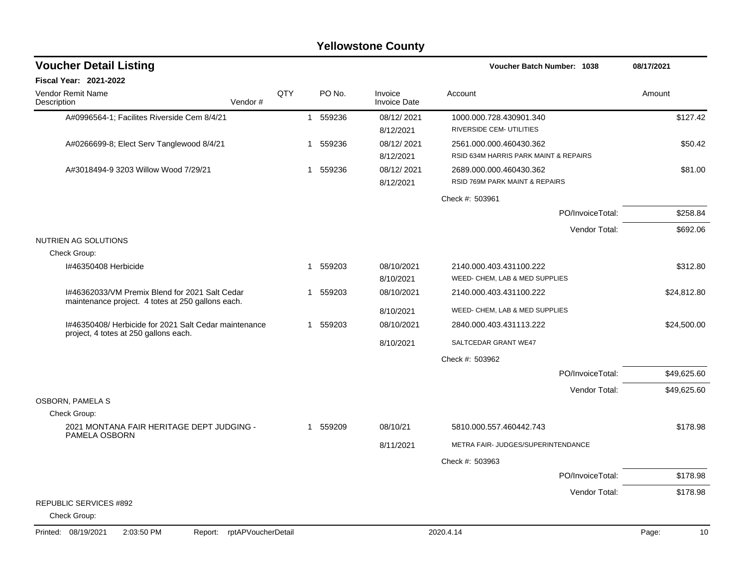| <b>Voucher Detail Listing</b>                         |                    |     |              |          |                                | Voucher Batch Number: 1038                                       |                  | 08/17/2021  |
|-------------------------------------------------------|--------------------|-----|--------------|----------|--------------------------------|------------------------------------------------------------------|------------------|-------------|
| <b>Fiscal Year: 2021-2022</b>                         |                    |     |              |          |                                |                                                                  |                  |             |
| <b>Vendor Remit Name</b><br>Description               | Vendor#            | QTY |              | PO No.   | Invoice<br><b>Invoice Date</b> | Account                                                          |                  | Amount      |
| A#0996564-1; Facilites Riverside Cem 8/4/21           |                    |     |              | 1 559236 | 08/12/2021<br>8/12/2021        | 1000.000.728.430901.340<br>RIVERSIDE CEM- UTILITIES              |                  | \$127.42    |
| A#0266699-8; Elect Serv Tanglewood 8/4/21             |                    |     | 1            | 559236   | 08/12/2021<br>8/12/2021        | 2561.000.000.460430.362<br>RSID 634M HARRIS PARK MAINT & REPAIRS |                  | \$50.42     |
| A#3018494-9 3203 Willow Wood 7/29/21                  |                    |     | 1            | 559236   | 08/12/2021<br>8/12/2021        | 2689.000.000.460430.362<br>RSID 769M PARK MAINT & REPAIRS        |                  | \$81.00     |
|                                                       |                    |     |              |          |                                | Check #: 503961                                                  |                  |             |
|                                                       |                    |     |              |          |                                |                                                                  | PO/InvoiceTotal: | \$258.84    |
|                                                       |                    |     |              |          |                                |                                                                  | Vendor Total:    | \$692.06    |
| NUTRIEN AG SOLUTIONS<br>Check Group:                  |                    |     |              |          |                                |                                                                  |                  |             |
| I#46350408 Herbicide                                  |                    |     | 1            | 559203   | 08/10/2021<br>8/10/2021        | 2140.000.403.431100.222<br>WEED- CHEM, LAB & MED SUPPLIES        |                  | \$312.80    |
| I#46362033/VM Premix Blend for 2021 Salt Cedar        |                    |     | $\mathbf 1$  | 559203   | 08/10/2021                     | 2140.000.403.431100.222                                          |                  | \$24,812.80 |
| maintenance project. 4 totes at 250 gallons each.     |                    |     |              |          | 8/10/2021                      | WEED- CHEM, LAB & MED SUPPLIES                                   |                  |             |
| I#46350408/ Herbicide for 2021 Salt Cedar maintenance |                    |     |              | 1 559203 | 08/10/2021                     | 2840.000.403.431113.222                                          |                  | \$24,500.00 |
| project, 4 totes at 250 gallons each.                 |                    |     |              |          | 8/10/2021                      | SALTCEDAR GRANT WE47                                             |                  |             |
|                                                       |                    |     |              |          |                                | Check #: 503962                                                  |                  |             |
|                                                       |                    |     |              |          |                                |                                                                  | PO/InvoiceTotal: | \$49,625.60 |
|                                                       |                    |     |              |          |                                |                                                                  | Vendor Total:    | \$49,625.60 |
| <b>OSBORN, PAMELA S</b><br>Check Group:               |                    |     |              |          |                                |                                                                  |                  |             |
| 2021 MONTANA FAIR HERITAGE DEPT JUDGING -             |                    |     | $\mathbf{1}$ | 559209   | 08/10/21                       | 5810.000.557.460442.743                                          |                  | \$178.98    |
| PAMELA OSBORN                                         |                    |     |              |          | 8/11/2021                      | METRA FAIR- JUDGES/SUPERINTENDANCE                               |                  |             |
|                                                       |                    |     |              |          |                                | Check #: 503963                                                  |                  |             |
|                                                       |                    |     |              |          |                                |                                                                  | PO/InvoiceTotal: | \$178.98    |
|                                                       |                    |     |              |          |                                |                                                                  | Vendor Total:    | \$178.98    |
| <b>REPUBLIC SERVICES #892</b>                         |                    |     |              |          |                                |                                                                  |                  |             |
| Check Group:                                          |                    |     |              |          |                                |                                                                  |                  |             |
| Printed: 08/19/2021<br>2:03:50 PM<br>Report:          | rptAPVoucherDetail |     |              |          |                                | 2020.4.14                                                        |                  | 10<br>Page: |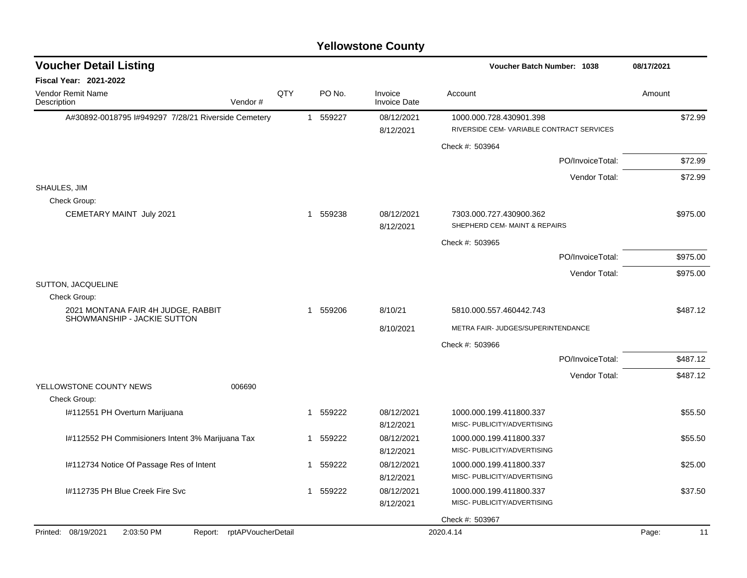| <b>Voucher Detail Listing</b>                       |                            |     |              |          |                                | Voucher Batch Number: 1038                                           | 08/17/2021  |
|-----------------------------------------------------|----------------------------|-----|--------------|----------|--------------------------------|----------------------------------------------------------------------|-------------|
| Fiscal Year: 2021-2022                              |                            |     |              |          |                                |                                                                      |             |
| Vendor Remit Name<br>Description                    | Vendor#                    | QTY |              | PO No.   | Invoice<br><b>Invoice Date</b> | Account                                                              | Amount      |
| A#30892-0018795 I#949297 7/28/21 Riverside Cemetery |                            |     |              | 1 559227 | 08/12/2021<br>8/12/2021        | 1000.000.728.430901.398<br>RIVERSIDE CEM- VARIABLE CONTRACT SERVICES | \$72.99     |
|                                                     |                            |     |              |          |                                | Check #: 503964                                                      |             |
|                                                     |                            |     |              |          |                                | PO/InvoiceTotal:                                                     | \$72.99     |
|                                                     |                            |     |              |          |                                | Vendor Total:                                                        | \$72.99     |
| SHAULES, JIM<br>Check Group:                        |                            |     |              |          |                                |                                                                      |             |
| CEMETARY MAINT July 2021                            |                            |     | $\mathbf 1$  | 559238   | 08/12/2021<br>8/12/2021        | 7303.000.727.430900.362<br>SHEPHERD CEM- MAINT & REPAIRS             | \$975.00    |
|                                                     |                            |     |              |          |                                | Check #: 503965                                                      |             |
|                                                     |                            |     |              |          |                                | PO/InvoiceTotal:                                                     | \$975.00    |
|                                                     |                            |     |              |          |                                | Vendor Total:                                                        | \$975.00    |
| SUTTON, JACQUELINE<br>Check Group:                  |                            |     |              |          |                                |                                                                      |             |
| 2021 MONTANA FAIR 4H JUDGE, RABBIT                  |                            |     | $\mathbf{1}$ | 559206   | 8/10/21                        | 5810.000.557.460442.743                                              | \$487.12    |
| SHOWMANSHIP - JACKIE SUTTON                         |                            |     |              |          | 8/10/2021                      | METRA FAIR- JUDGES/SUPERINTENDANCE                                   |             |
|                                                     |                            |     |              |          |                                | Check #: 503966                                                      |             |
|                                                     |                            |     |              |          |                                | PO/InvoiceTotal:                                                     | \$487.12    |
|                                                     |                            |     |              |          |                                | Vendor Total:                                                        | \$487.12    |
| YELLOWSTONE COUNTY NEWS<br>Check Group:             | 006690                     |     |              |          |                                |                                                                      |             |
| I#112551 PH Overturn Marijuana                      |                            |     | $\mathbf{1}$ | 559222   | 08/12/2021                     | 1000.000.199.411800.337                                              | \$55.50     |
|                                                     |                            |     |              |          | 8/12/2021                      | MISC- PUBLICITY/ADVERTISING                                          |             |
| I#112552 PH Commisioners Intent 3% Marijuana Tax    |                            |     | $\mathbf{1}$ | 559222   | 08/12/2021                     | 1000.000.199.411800.337                                              | \$55.50     |
| I#112734 Notice Of Passage Res of Intent            |                            |     | $\mathbf{1}$ | 559222   | 8/12/2021<br>08/12/2021        | MISC- PUBLICITY/ADVERTISING<br>1000.000.199.411800.337               | \$25.00     |
|                                                     |                            |     |              |          | 8/12/2021                      | MISC- PUBLICITY/ADVERTISING                                          |             |
| I#112735 PH Blue Creek Fire Svc                     |                            |     | 1            | 559222   | 08/12/2021                     | 1000.000.199.411800.337                                              | \$37.50     |
|                                                     |                            |     |              |          | 8/12/2021                      | MISC- PUBLICITY/ADVERTISING                                          |             |
|                                                     |                            |     |              |          |                                | Check #: 503967                                                      |             |
| Printed: 08/19/2021<br>2:03:50 PM                   | Report: rptAPVoucherDetail |     |              |          |                                | 2020.4.14                                                            | Page:<br>11 |